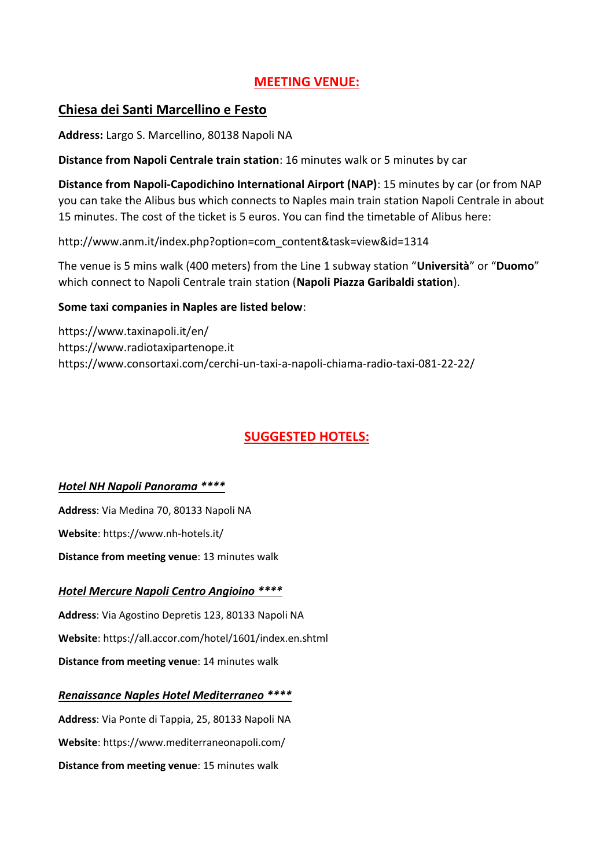# **MEETING VENUE:**

# **Chiesa dei Santi Marcellino e Festo**

**Address:** Largo S. Marcellino, 80138 Napoli NA

**Distance from Napoli Centrale train station**: 16 minutes walk or 5 minutes by car

**Distance from Napoli-Capodichino International Airport (NAP)**: 15 minutes by car (or from NAP you can take the Alibus bus which connects to Naples main train station Napoli Centrale in about 15 minutes. The cost of the ticket is 5 euros. You can find the timetable of Alibus here:

http://www.anm.it/index.php?option=com\_content&task=view&id=1314

The venue is 5 mins walk (400 meters) from the Line 1 subway station "**Università**" or "**Duomo**" which connect to Napoli Centrale train station (**Napoli Piazza Garibaldi station**).

## **Some taxi companies in Naples are listed below**:

https://www.taxinapoli.it/en/ https://www.radiotaxipartenope.it https://www.consortaxi.com/cerchi-un-taxi-a-napoli-chiama-radio-taxi-081-22-22/

# **SUGGESTED HOTELS:**

## *Hotel NH Napoli Panorama \*\*\*\**

**Address**: Via Medina 70, 80133 Napoli NA **Website**: https://www.nh-hotels.it/ **Distance from meeting venue**: 13 minutes walk

# *Hotel Mercure Napoli Centro Angioino \*\*\*\**

**Address**: Via Agostino Depretis 123, 80133 Napoli NA **Website**: https://all.accor.com/hotel/1601/index.en.shtml **Distance from meeting venue**: 14 minutes walk

# *Renaissance Naples Hotel Mediterraneo \*\*\*\**

**Address**: Via Ponte di Tappia, 25, 80133 Napoli NA **Website**: https://www.mediterraneonapoli.com/ **Distance from meeting venue**: 15 minutes walk